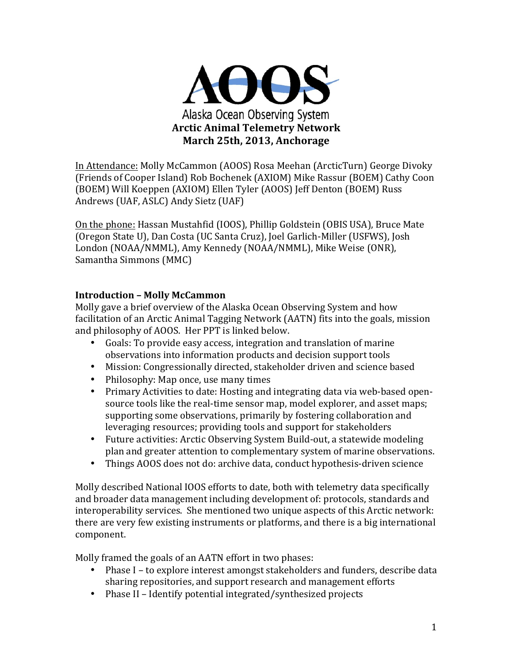

In Attendance: Molly McCammon (AOOS) Rosa Meehan (ArcticTurn) George Divoky (Friends of Cooper Island) Rob Bochenek (AXIOM) Mike Rassur (BOEM) Cathy Coon (BOEM) Will Koeppen (AXIOM) Ellen Tyler (AOOS) Jeff Denton (BOEM) Russ Andrews (UAF, ASLC) Andy Sietz (UAF)

On the phone: Hassan Mustahfid (IOOS), Phillip Goldstein (OBIS USA), Bruce Mate (Oregon State U), Dan Costa (UC Santa Cruz), Joel Garlich-Miller (USFWS), Josh London (NOAA/NMML), Amy Kennedy (NOAA/NMML), Mike Weise (ONR), Samantha Simmons (MMC)

### **Introduction – Molly McCammon**

Molly gave a brief overview of the Alaska Ocean Observing System and how facilitation of an Arctic Animal Tagging Network (AATN) fits into the goals, mission and philosophy of AOOS. Her PPT is linked below.

- Goals: To provide easy access, integration and translation of marine observations into information products and decision support tools
- Mission: Congressionally directed, stakeholder driven and science based
- Philosophy: Map once, use many times
- Primary Activities to date: Hosting and integrating data via web-based opensource tools like the real-time sensor map, model explorer, and asset maps; supporting some observations, primarily by fostering collaboration and leveraging resources; providing tools and support for stakeholders
- Future activities: Arctic Observing System Build-out, a statewide modeling plan and greater attention to complementary system of marine observations.
- Things AOOS does not do: archive data, conduct hypothesis-driven science

Molly described National IOOS efforts to date, both with telemetry data specifically and broader data management including development of: protocols, standards and interoperability services. She mentioned two unique aspects of this Arctic network: there are very few existing instruments or platforms, and there is a big international component. 

Molly framed the goals of an AATN effort in two phases:

- Phase I to explore interest amongst stakeholders and funders, describe data sharing repositories, and support research and management efforts
- Phase II Identify potential integrated/synthesized projects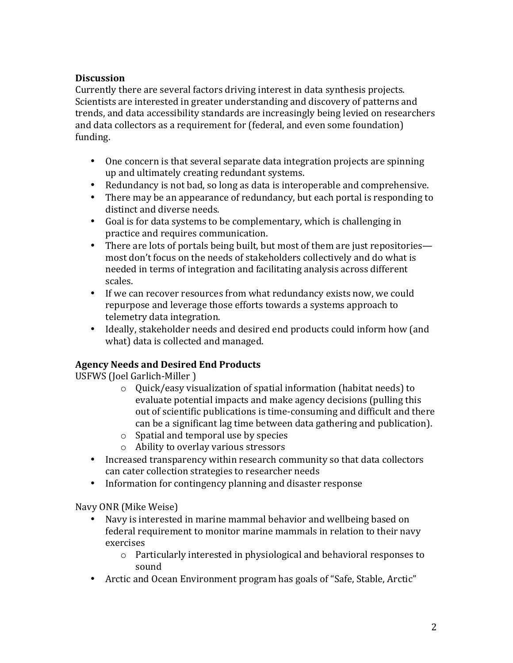## **Discussion**

Currently there are several factors driving interest in data synthesis projects. Scientists are interested in greater understanding and discovery of patterns and trends, and data accessibility standards are increasingly being levied on researchers and data collectors as a requirement for (federal, and even some foundation) funding. 

- One concern is that several separate data integration projects are spinning up and ultimately creating redundant systems.
- Redundancy is not bad, so long as data is interoperable and comprehensive.
- There may be an appearance of redundancy, but each portal is responding to distinct and diverse needs.
- Goal is for data systems to be complementary, which is challenging in practice and requires communication.
- There are lots of portals being built, but most of them are just repositories most don't focus on the needs of stakeholders collectively and do what is needed in terms of integration and facilitating analysis across different scales.
- If we can recover resources from what redundancy exists now, we could repurpose and leverage those efforts towards a systems approach to telemetry data integration.
- Ideally, stakeholder needs and desired end products could inform how (and what) data is collected and managed.

# **Agency Needs and Desired End Products**

USFWS (Joel Garlich-Miller)

- $\circ$  Ouick/easy visualization of spatial information (habitat needs) to evaluate potential impacts and make agency decisions (pulling this out of scientific publications is time-consuming and difficult and there can be a significant lag time between data gathering and publication).
- $\circ$  Spatial and temporal use by species
- o Ability to overlay various stressors
- Increased transparency within research community so that data collectors can cater collection strategies to researcher needs
- Information for contingency planning and disaster response

Navy ONR (Mike Weise)

- Navy is interested in marine mammal behavior and wellbeing based on federal requirement to monitor marine mammals in relation to their navy exercises
	- $\circ$  Particularly interested in physiological and behavioral responses to sound
- Arctic and Ocean Environment program has goals of "Safe, Stable, Arctic"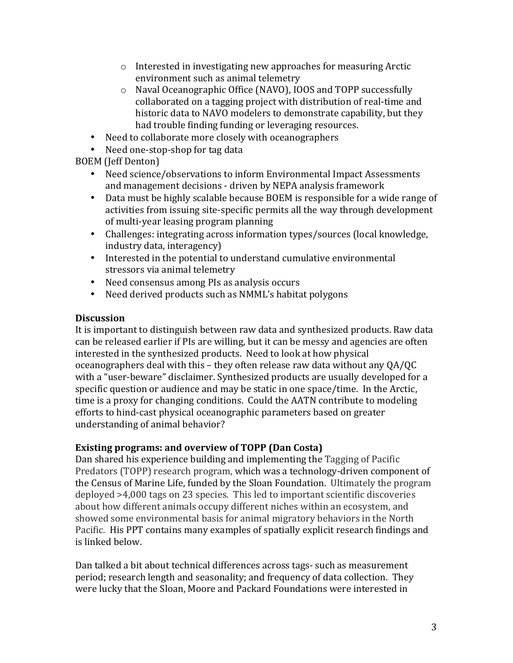- $\circ$  Interested in investigating new approaches for measuring Arctic environment such as animal telemetry
- $\circ$  Naval Oceanographic Office (NAVO), IOOS and TOPP successfully collaborated on a tagging project with distribution of real-time and historic data to NAVO modelers to demonstrate capability, but they had trouble finding funding or leveraging resources.
- Need to collaborate more closely with oceanographers
- Need one-stop-shop for tag data

BOEM (Jeff Denton) 

- Need science/observations to inform Environmental Impact Assessments and management decisions - driven by NEPA analysis framework
- Data must be highly scalable because BOEM is responsible for a wide range of activities from issuing site-specific permits all the way through development of multi-year leasing program planning
- Challenges: integrating across information types/sources (local knowledge, industry data, interagency)
- Interested in the potential to understand cumulative environmental stressors via animal telemetry
- Need consensus among PIs as analysis occurs
- Need derived products such as NMML's habitat polygons

### **Discussion**

It is important to distinguish between raw data and synthesized products. Raw data can be released earlier if PIs are willing, but it can be messy and agencies are often interested in the synthesized products. Need to look at how physical oceanographers deal with this – they often release raw data without any  $QA/QC$ with a "user-beware" disclaimer. Synthesized products are usually developed for a specific question or audience and may be static in one space/time. In the Arctic, time is a proxy for changing conditions. Could the AATN contribute to modeling efforts to hind-cast physical oceanographic parameters based on greater understanding of animal behavior?

## **Existing programs: and overview of TOPP (Dan Costa)**

Dan shared his experience building and implementing the Tagging of Pacific Predators (TOPP) research program, which was a technology-driven component of the Census of Marine Life, funded by the Sloan Foundation. Ultimately the program deployed >4,000 tags on 23 species. This led to important scientific discoveries about how different animals occupy different niches within an ecosystem, and showed some environmental basis for animal migratory behaviors in the North Pacific. His PPT contains many examples of spatially explicit research findings and is linked below. 

Dan talked a bit about technical differences across tags- such as measurement period; research length and seasonality; and frequency of data collection. They were lucky that the Sloan, Moore and Packard Foundations were interested in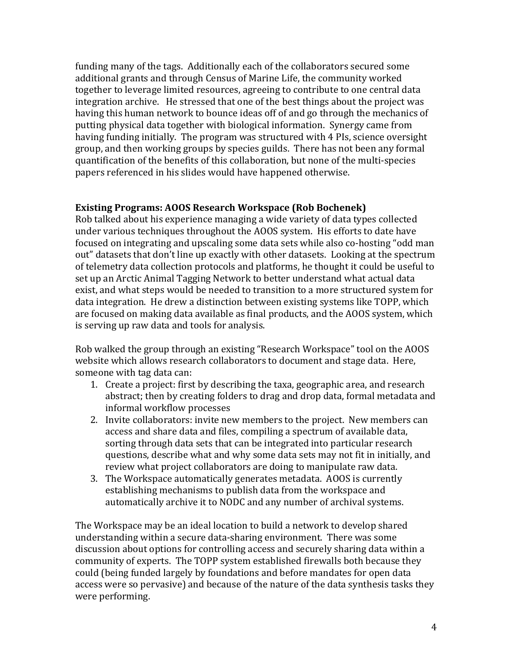funding many of the tags. Additionally each of the collaborators secured some additional grants and through Census of Marine Life, the community worked together to leverage limited resources, agreeing to contribute to one central data integration archive. He stressed that one of the best things about the project was having this human network to bounce ideas off of and go through the mechanics of putting physical data together with biological information. Synergy came from having funding initially. The program was structured with 4 PIs, science oversight group, and then working groups by species guilds. There has not been any formal quantification of the benefits of this collaboration, but none of the multi-species papers referenced in his slides would have happened otherwise.

### **Existing Programs: AOOS Research Workspace (Rob Bochenek)**

Rob talked about his experience managing a wide variety of data types collected under various techniques throughout the AOOS system. His efforts to date have focused on integrating and upscaling some data sets while also co-hosting "odd man out" datasets that don't line up exactly with other datasets. Looking at the spectrum of telemetry data collection protocols and platforms, he thought it could be useful to set up an Arctic Animal Tagging Network to better understand what actual data exist, and what steps would be needed to transition to a more structured system for data integration. He drew a distinction between existing systems like TOPP, which are focused on making data available as final products, and the AOOS system, which is serving up raw data and tools for analysis.

Rob walked the group through an existing "Research Workspace" tool on the AOOS website which allows research collaborators to document and stage data. Here, someone with tag data can:

- 1. Create a project: first by describing the taxa, geographic area, and research abstract; then by creating folders to drag and drop data, formal metadata and informal workflow processes
- 2. Invite collaborators: invite new members to the project. New members can access and share data and files, compiling a spectrum of available data, sorting through data sets that can be integrated into particular research questions, describe what and why some data sets may not fit in initially, and review what project collaborators are doing to manipulate raw data.
- 3. The Workspace automatically generates metadata. AOOS is currently establishing mechanisms to publish data from the workspace and automatically archive it to NODC and any number of archival systems.

The Workspace may be an ideal location to build a network to develop shared understanding within a secure data-sharing environment. There was some discussion about options for controlling access and securely sharing data within a community of experts. The TOPP system established firewalls both because they could (being funded largely by foundations and before mandates for open data access were so pervasive) and because of the nature of the data synthesis tasks they were performing.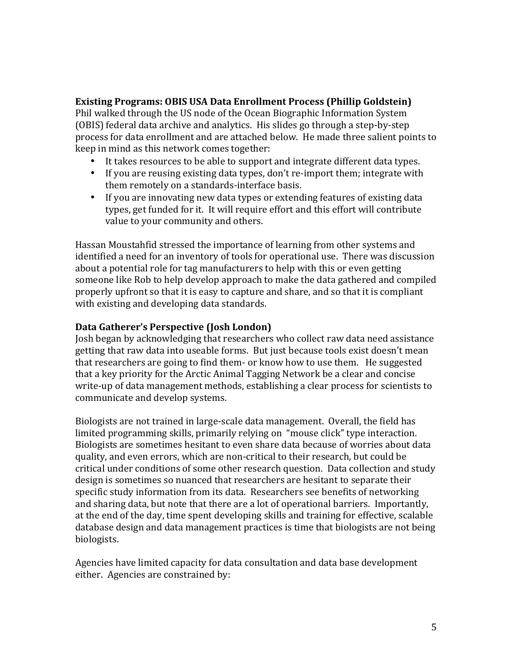### **Existing Programs: OBIS USA Data Enrollment Process (Phillip Goldstein)**

Phil walked through the US node of the Ocean Biographic Information System (OBIS) federal data archive and analytics. His slides go through a step-by-step process for data enrollment and are attached below. He made three salient points to keep in mind as this network comes together:

- It takes resources to be able to support and integrate different data types.
- If you are reusing existing data types, don't re-import them; integrate with them remotely on a standards-interface basis.
- If you are innovating new data types or extending features of existing data types, get funded for it. It will require effort and this effort will contribute value to your community and others.

Hassan Moustahfid stressed the importance of learning from other systems and identified a need for an inventory of tools for operational use. There was discussion about a potential role for tag manufacturers to help with this or even getting someone like Rob to help develop approach to make the data gathered and compiled properly upfront so that it is easy to capture and share, and so that it is compliant with existing and developing data standards.

## **Data Gatherer's Perspective (Josh London)**

Josh began by acknowledging that researchers who collect raw data need assistance getting that raw data into useable forms. But just because tools exist doesn't mean that researchers are going to find them- or know how to use them. He suggested that a key priority for the Arctic Animal Tagging Network be a clear and concise write-up of data management methods, establishing a clear process for scientists to communicate and develop systems.

Biologists are not trained in large-scale data management. Overall, the field has limited programming skills, primarily relying on "mouse click" type interaction. Biologists are sometimes hesitant to even share data because of worries about data quality, and even errors, which are non-critical to their research, but could be critical under conditions of some other research question. Data collection and study design is sometimes so nuanced that researchers are hesitant to separate their specific study information from its data. Researchers see benefits of networking and sharing data, but note that there are a lot of operational barriers. Importantly, at the end of the day, time spent developing skills and training for effective, scalable database design and data management practices is time that biologists are not being biologists.

Agencies have limited capacity for data consultation and data base development either. Agencies are constrained by: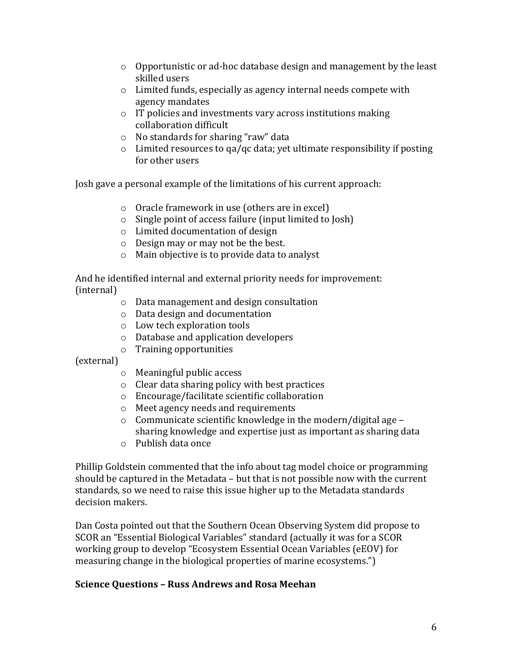- $\circ$  Opportunistic or ad-hoc database design and management by the least skilled users
- $\circ$  Limited funds, especially as agency internal needs compete with agency mandates
- $\circ$  IT policies and investments vary across institutions making collaboration difficult
- $\circ$  No standards for sharing "raw" data
- $\circ$  Limited resources to qa/qc data; yet ultimate responsibility if posting for other users

Josh gave a personal example of the limitations of his current approach:

- $\circ$  Oracle framework in use (others are in excel)
- $\circ$  Single point of access failure (input limited to Josh)
- o Limited documentation of design
- $\circ$  Design may or may not be the best.
- $\circ$  Main objective is to provide data to analyst

And he identified internal and external priority needs for improvement: (internal)

- $\circ$  Data management and design consultation
- $\circ$  Data design and documentation
- o Low tech exploration tools
- $\circ$  Database and application developers
- $\circ$  Training opportunities

(external)

- $\circ$  Meaningful public access
- $\circ$  Clear data sharing policy with best practices
- o Encourage/facilitate scientific collaboration
- $\circ$  Meet agency needs and requirements
- $\circ$  Communicate scientific knowledge in the modern/digital age sharing knowledge and expertise just as important as sharing data
- $\circ$  Publish data once

Phillip Goldstein commented that the info about tag model choice or programming should be captured in the Metadata – but that is not possible now with the current standards, so we need to raise this issue higher up to the Metadata standards decision makers.

Dan Costa pointed out that the Southern Ocean Observing System did propose to SCOR an "Essential Biological Variables" standard (actually it was for a SCOR working group to develop "Ecosystem Essential Ocean Variables (eEOV) for measuring change in the biological properties of marine ecosystems.")

## **Science Questions – Russ Andrews and Rosa Meehan**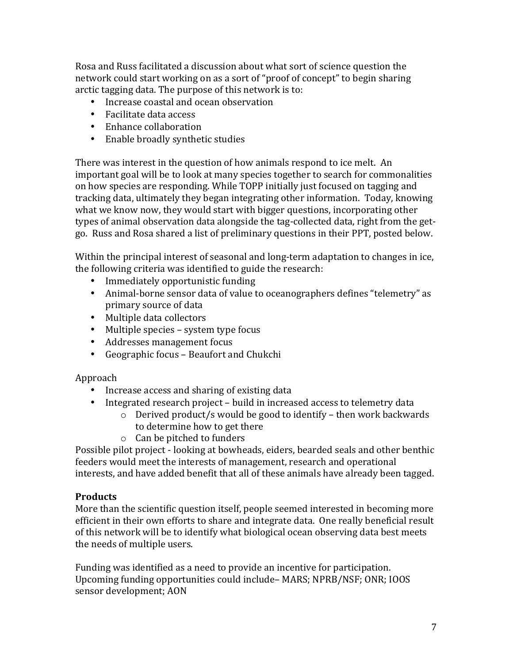Rosa and Russ facilitated a discussion about what sort of science question the network could start working on as a sort of "proof of concept" to begin sharing arctic tagging data. The purpose of this network is to:

- Increase coastal and ocean observation
- Facilitate data access
- Enhance collaboration
- Enable broadly synthetic studies

There was interest in the question of how animals respond to ice melt. An important goal will be to look at many species together to search for commonalities on how species are responding. While TOPP initially just focused on tagging and tracking data, ultimately they began integrating other information. Today, knowing what we know now, they would start with bigger questions, incorporating other types of animal observation data alongside the tag-collected data, right from the getgo. Russ and Rosa shared a list of preliminary questions in their PPT, posted below.

Within the principal interest of seasonal and long-term adaptation to changes in ice, the following criteria was identified to guide the research:

- Immediately opportunistic funding
- Animal-borne sensor data of value to oceanographers defines "telemetry" as primary source of data
- Multiple data collectors
- Multiple species system type focus
- Addresses management focus
- Geographic focus Beaufort and Chukchi

### Approach

- Increase access and sharing of existing data
- Integrated research project build in increased access to telemetry data
	- $\circ$  Derived product/s would be good to identify then work backwards to determine how to get there
	- $\circ$  Can be pitched to funders

Possible pilot project - looking at bowheads, eiders, bearded seals and other benthic feeders would meet the interests of management, research and operational interests, and have added benefit that all of these animals have already been tagged.

### **Products**

More than the scientific question itself, people seemed interested in becoming more efficient in their own efforts to share and integrate data. One really beneficial result of this network will be to identify what biological ocean observing data best meets the needs of multiple users.

Funding was identified as a need to provide an incentive for participation. Upcoming funding opportunities could include– MARS; NPRB/NSF; ONR; IOOS sensor development; AON